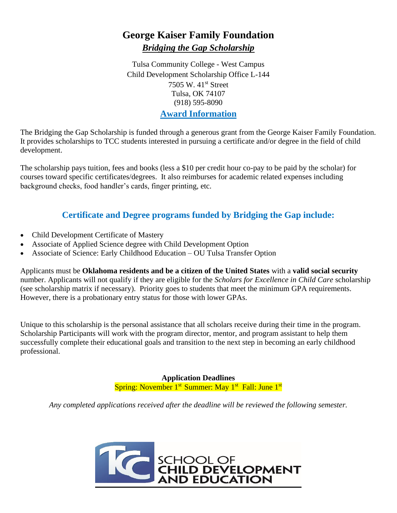# **George Kaiser Family Foundation** *Bridging the Gap Scholarship*

Tulsa Community College - West Campus Child Development Scholarship Office L-144 7505 W. 41<sup>st</sup> Street Tulsa, OK 74107 (918) 595-8090 **Award Information**

The Bridging the Gap Scholarship is funded through a generous grant from the George Kaiser Family Foundation. It provides scholarships to TCC students interested in pursuing a certificate and/or degree in the field of child development.

The scholarship pays tuition, fees and books (less a \$10 per credit hour co-pay to be paid by the scholar) for courses toward specific certificates/degrees. It also reimburses for academic related expenses including background checks, food handler's cards, finger printing, etc.

## **Certificate and Degree programs funded by Bridging the Gap include:**

- Child Development Certificate of Mastery
- Associate of Applied Science degree with Child Development Option
- Associate of Science: Early Childhood Education OU Tulsa Transfer Option

Applicants must be **Oklahoma residents and be a citizen of the United States** with a **valid social security** number. Applicants will not qualify if they are eligible for the *Scholars for Excellence in Child Care* scholarship (see scholarship matrix if necessary). Priority goes to students that meet the minimum GPA requirements. However, there is a probationary entry status for those with lower GPAs.

Unique to this scholarship is the personal assistance that all scholars receive during their time in the program. Scholarship Participants will work with the program director, mentor, and program assistant to help them successfully complete their educational goals and transition to the next step in becoming an early childhood professional.

> **Application Deadlines**  Spring: November 1<sup>st</sup> Summer: May 1<sup>st</sup> Fall: June 1<sup>st</sup>

*Any completed applications received after the deadline will be reviewed the following semester.*

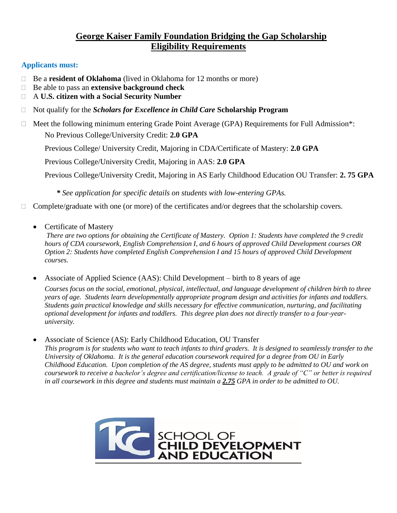## **George Kaiser Family Foundation Bridging the Gap Scholarship Eligibility Requirements**

### **Applicants must:**

- □ Be a **resident of Oklahoma** (lived in Oklahoma for 12 months or more)
- Be able to pass an **extensive background check**
- A **U.S. citizen with a Social Security Number**
- Not qualify for the *Scholars for Excellence in Child Care* **Scholarship Program**
- $\Box$  Meet the following minimum entering Grade Point Average (GPA) Requirements for Full Admission\*: No Previous College/University Credit: **2.0 GPA**

Previous College/ University Credit, Majoring in CDA/Certificate of Mastery: **2.0 GPA**

Previous College/University Credit, Majoring in AAS: **2.0 GPA**

Previous College/University Credit, Majoring in AS Early Childhood Education OU Transfer: **2. 75 GPA**

 *\* See application for specific details on students with low-entering GPAs.*

- $\Box$  Complete/graduate with one (or more) of the certificates and/or degrees that the scholarship covers.
	- Certificate of Mastery

*There are two options for obtaining the Certificate of Mastery. Option 1: Students have completed the 9 credit hours of CDA coursework, English Comprehension I, and 6 hours of approved Child Development courses OR Option 2: Students have completed English Comprehension I and 15 hours of approved Child Development courses.*

• Associate of Applied Science (AAS): Child Development – birth to 8 years of age

*Courses focus on the social, emotional, physical, intellectual, and language development of children birth to three years of age. Students learn developmentally appropriate program design and activities for infants and toddlers. Students gain practical knowledge and skills necessary for effective communication, nurturing, and facilitating optional development for infants and toddlers. This degree plan does not directly transfer to a four-yearuniversity.*

• Associate of Science (AS): Early Childhood Education, OU Transfer *This program is for students who want to teach infants to third graders. It is designed to seamlessly transfer to the University of Oklahoma. It is the general education coursework required for a degree from OU in Early Childhood Education. Upon completion of the AS degree, students must apply to be admitted to OU and work on coursework to receive a bachelor's degree and certification/license to teach. A grade of "C" or better is required in all coursework in this degree and students must maintain a 2.75 GPA in order to be admitted to OU.*

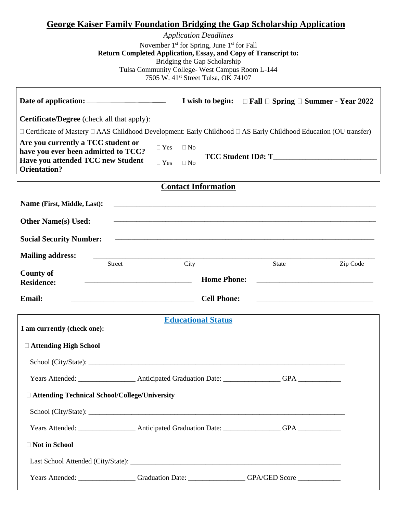### **George Kaiser Family Foundation Bridging the Gap Scholarship Application**

*Application Deadlines* November 1<sup>st</sup> for Spring, June 1<sup>st</sup> for Fall **Return Completed Application, Essay, and Copy of Transcript to:** Bridging the Gap Scholarship Tulsa Community College- West Campus Room L-144 7505 W. 41st Street Tulsa, OK 74107

|                                                                                                                                   |                                                    | I wish to begin: $\Box$ Fall $\Box$ Spring $\Box$ Summer - Year 2022 |  |
|-----------------------------------------------------------------------------------------------------------------------------------|----------------------------------------------------|----------------------------------------------------------------------|--|
| <b>Certificate/Degree</b> (check all that apply):                                                                                 |                                                    |                                                                      |  |
| $\Box$ Certificate of Mastery $\Box$ AAS Childhood Development: Early Childhood $\Box$ AS Early Childhood Education (OU transfer) |                                                    |                                                                      |  |
| Are you currently a TCC student or<br>have you ever been admitted to TCC?<br>Have you attended TCC new Student                    | $\Box$ Yes<br>$\Box$ No<br>$\Box$ Yes<br>$\Box$ No | TCC Student ID#: T                                                   |  |
| <b>Orientation?</b>                                                                                                               |                                                    |                                                                      |  |
| <b>Contact Information</b>                                                                                                        |                                                    |                                                                      |  |
| Name (First, Middle, Last):                                                                                                       |                                                    |                                                                      |  |
| <b>Other Name(s) Used:</b>                                                                                                        |                                                    |                                                                      |  |
| <b>Social Security Number:</b>                                                                                                    |                                                    |                                                                      |  |
| <b>Mailing address:</b><br>Street                                                                                                 | City                                               | State<br>Zip Code                                                    |  |
| <b>County of</b><br><b>Residence:</b>                                                                                             | <b>Home Phone:</b>                                 |                                                                      |  |
| Email:                                                                                                                            | <b>Cell Phone:</b>                                 |                                                                      |  |
| <b>Educational Status</b>                                                                                                         |                                                    |                                                                      |  |
| I am currently (check one):                                                                                                       |                                                    |                                                                      |  |
| □ Attending High School                                                                                                           |                                                    |                                                                      |  |
|                                                                                                                                   |                                                    |                                                                      |  |
| Years Attended:                                                                                                                   | <b>Anticipated Graduation Date:</b>                | <b>GPA</b>                                                           |  |
| □ Attending Technical School/College/University                                                                                   |                                                    |                                                                      |  |
|                                                                                                                                   |                                                    |                                                                      |  |
|                                                                                                                                   |                                                    |                                                                      |  |
| □ Not in School                                                                                                                   |                                                    |                                                                      |  |
|                                                                                                                                   |                                                    |                                                                      |  |
| Years Attended: Cambridge Constantinoplate: Cambridge: Cambridge Constantinoplate: CAPA/GED Score                                 |                                                    |                                                                      |  |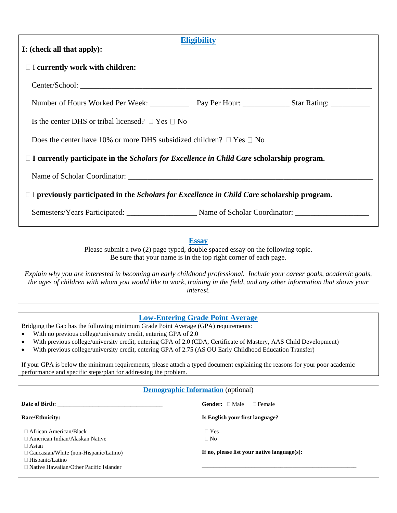| <b>Eligibility</b>                                                                                        |  |  |  |
|-----------------------------------------------------------------------------------------------------------|--|--|--|
| I: (check all that apply):                                                                                |  |  |  |
| $\Box$ I currently work with children:                                                                    |  |  |  |
|                                                                                                           |  |  |  |
|                                                                                                           |  |  |  |
| Is the center DHS or tribal licensed? $\Box$ Yes $\Box$ No                                                |  |  |  |
| Does the center have 10% or more DHS subsidized children? $\Box$ Yes $\Box$ No                            |  |  |  |
| $\Box$ I currently participate in the <i>Scholars for Excellence in Child Care</i> scholarship program.   |  |  |  |
|                                                                                                           |  |  |  |
| $\Box$ I previously participated in the <i>Scholars for Excellence in Child Care</i> scholarship program. |  |  |  |
| Semesters/Years Participated: _________________________ Name of Scholar Coordinator: ______________       |  |  |  |

**Essay**

Please submit a two (2) page typed, double spaced essay on the following topic. Be sure that your name is in the top right corner of each page.

*Explain why you are interested in becoming an early childhood professional. Include your career goals, academic goals, the ages of children with whom you would like to work, training in the field, and any other information that shows your interest.*

#### **Low-Entering Grade Point Average**

Bridging the Gap has the following minimum Grade Point Average (GPA) requirements:

- With no previous college/university credit, entering GPA of 2.0
- With previous college/university credit, entering GPA of 2.0 (CDA, Certificate of Mastery, AAS Child Development)
- With previous college/university credit, entering GPA of 2.75 (AS OU Early Childhood Education Transfer)

If your GPA is below the minimum requirements, please attach a typed document explaining the reasons for your poor academic performance and specific steps/plan for addressing the problem.

#### **Demographic Information** (optional)

| Date of Birth: New York 1988. The State of Birth:                                                                                                                                                                 | <b>Gender:</b> $\Box$ Male<br>$\Box$ Female                                |
|-------------------------------------------------------------------------------------------------------------------------------------------------------------------------------------------------------------------|----------------------------------------------------------------------------|
| Race/Ethnicity:                                                                                                                                                                                                   | Is English your first language?                                            |
| $\Box$ African American/Black<br>$\Box$ American Indian/Alaskan Native<br>$\Box$ Asian<br>$\Box$ Caucasian/White (non-Hispanic/Latino)<br>$\Box$ Hispanic/Latino<br>$\Box$ Native Hawaiian/Other Pacific Islander | $\Box$ Yes<br>$\Box$ No<br>If no, please list your native language $(s)$ : |